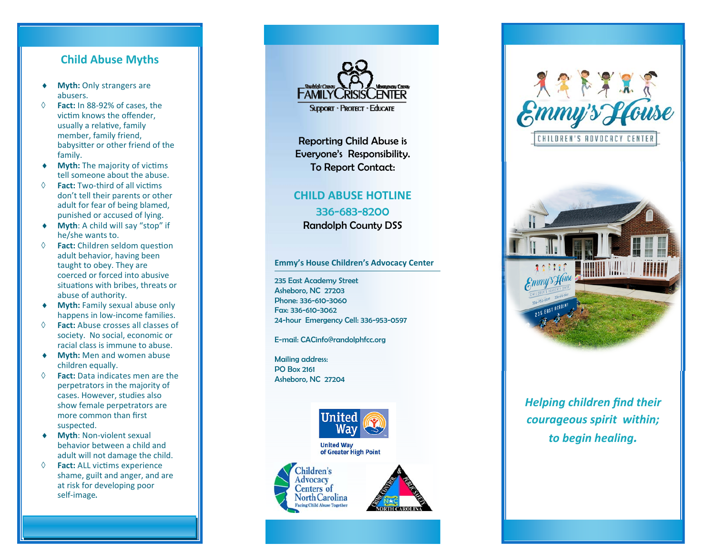### **Child Abuse Myths**

- ۰ **Myth:** Only strangers are abusers.
- $\Diamond$  **Fact:** In 88‐92% of cases, the victim knows the offender. usually a relative, family member, family friend, babysitter or other friend of the family.
- $\bullet$ **Myth:** The majority of victims tell someone about the abuse.
- **↑ Fact: Two-third of all victims** don't tell their parents or other adult for fear of being blamed, punished or accused of lying.
- $\bullet$  **Myth**: A child will say "stop" if he/she wants to.
- $\Diamond$  **Fact:** Children seldom question adult behavior, having been taught to obey. They are coerced or forced into abusive situations with bribes, threats or abuse of authority.
- **Myth:** Family sexual abuse only happens in low‐income families.
- $\Diamond$  **Fact:** Abuse crosses all classes of society. No social, economic or racial class is immune to abuse.
- **Myth:** Men and women abuse children equally.
- $\Diamond$  **Fact:** Data indicates men are the perpetrators in the majority of cases. However, studies also show female perpetrators are more common than first suspected.
- **Myth**: Non‐violent sexual behavior between a child and adult will not damage the child.
- $\Diamond$ **Fact:** ALL victims experience shame, guilt and anger, and are at risk for developing poor self‐image.



Reporting Child Abuse is Everyone's Responsibility. To Report Contact:

## **CHILD ABUSE HOTLINE** 336-683-8200 Randolph County DSS

#### **Emmy's House Children's Advocacy Center**

235 East Academy Street Asheboro, NC 27203 Phone: 336-610-3060 Fax: 336-610-3062 24-hour Emergency Cell: 336-953-0597

E-mail: CACinfo@randolphfcc.org

Mailing address: PO Box 2161 Asheboro, NC 27204





*Helping children find their courageous spirit within; to begin healing.*